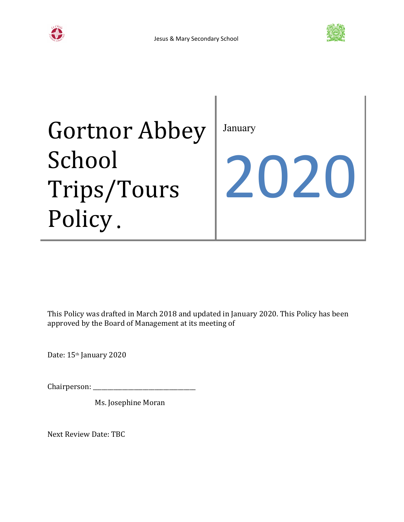



# Gortnor Abbey School Trips/Tours Policy.

January

2020

This Policy was drafted in March 2018 and updated in January 2020. This Policy has been approved by the Board of Management at its meeting of

Date: 15<sup>th</sup> January 2020

Chairperson:

Ms. Josephine Moran

Next Review Date: TBC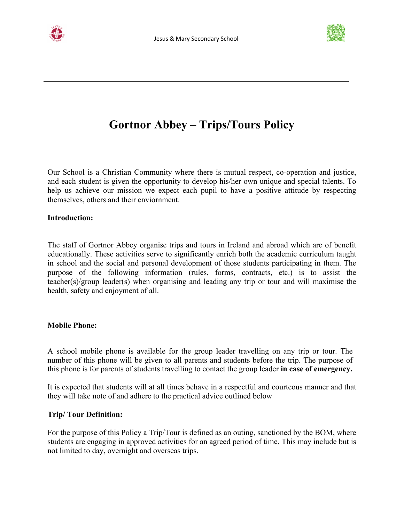



# **Gortnor Abbey – Trips/Tours Policy**

Our School is a Christian Community where there is mutual respect, co-operation and justice, and each student is given the opportunity to develop his/her own unique and special talents. To help us achieve our mission we expect each pupil to have a positive attitude by respecting themselves, others and their enviornment.

#### **Introduction:**

The staff of Gortnor Abbey organise trips and tours in Ireland and abroad which are of benefit educationally. These activities serve to significantly enrich both the academic curriculum taught in school and the social and personal development of those students participating in them. The purpose of the following information (rules, forms, contracts, etc.) is to assist the teacher(s)/group leader(s) when organising and leading any trip or tour and will maximise the health, safety and enjoyment of all.

#### **Mobile Phone:**

A school mobile phone is available for the group leader travelling on any trip or tour. The number of this phone will be given to all parents and students before the trip. The purpose of this phone is for parents of students travelling to contact the group leader **in case of emergency.**

It is expected that students will at all times behave in a respectful and courteous manner and that they will take note of and adhere to the practical advice outlined below

#### **Trip/ Tour Definition:**

For the purpose of this Policy a Trip/Tour is defined as an outing, sanctioned by the BOM, where students are engaging in approved activities for an agreed period of time. This may include but is not limited to day, overnight and overseas trips.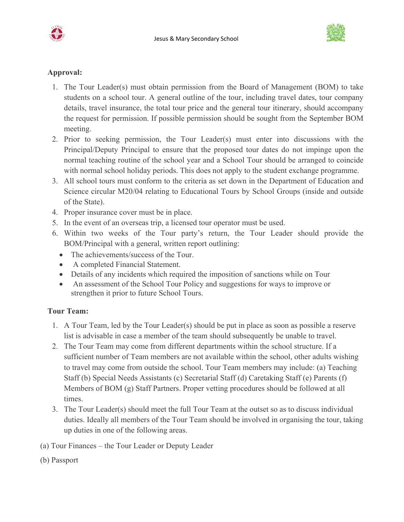



#### **Approval:**

- 1. The Tour Leader(s) must obtain permission from the Board of Management (BOM) to take students on a school tour. A general outline of the tour, including travel dates, tour company details, travel insurance, the total tour price and the general tour itinerary, should accompany the request for permission. If possible permission should be sought from the September BOM meeting.
- 2. Prior to seeking permission, the Tour Leader(s) must enter into discussions with the Principal/Deputy Principal to ensure that the proposed tour dates do not impinge upon the normal teaching routine of the school year and a School Tour should be arranged to coincide with normal school holiday periods. This does not apply to the student exchange programme.
- 3. All school tours must conform to the criteria as set down in the Department of Education and Science circular M20/04 relating to Educational Tours by School Groups (inside and outside of the State).
- 4. Proper insurance cover must be in place.
- 5. In the event of an overseas trip, a licensed tour operator must be used.
- 6. Within two weeks of the Tour party's return, the Tour Leader should provide the BOM/Principal with a general, written report outlining:
	- The achievements/success of the Tour.
	- A completed Financial Statement.
	- Details of any incidents which required the imposition of sanctions while on Tour
	- An assessment of the School Tour Policy and suggestions for ways to improve or strengthen it prior to future School Tours.

## **Tour Team:**

- 1. A Tour Team, led by the Tour Leader(s) should be put in place as soon as possible a reserve list is advisable in case a member of the team should subsequently be unable to travel.
- 2. The Tour Team may come from different departments within the school structure. If a sufficient number of Team members are not available within the school, other adults wishing to travel may come from outside the school. Tour Team members may include: (a) Teaching Staff (b) Special Needs Assistants (c) Secretarial Staff (d) Caretaking Staff (e) Parents (f) Members of BOM (g) Staff Partners. Proper vetting procedures should be followed at all times.
- 3. The Tour Leader(s) should meet the full Tour Team at the outset so as to discuss individual duties. Ideally all members of the Tour Team should be involved in organising the tour, taking up duties in one of the following areas.
- (a) Tour Finances the Tour Leader or Deputy Leader
- (b) Passport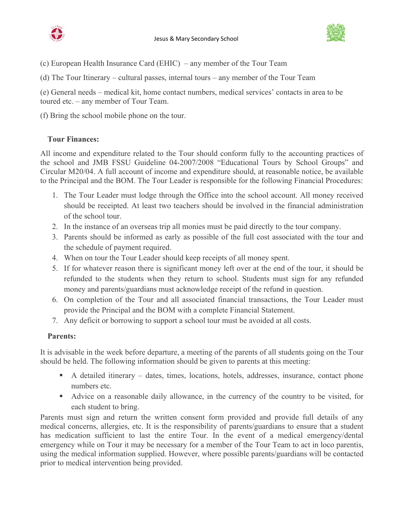



- (c) European Health Insurance Card (EHIC) any member of the Tour Team
- (d) The Tour Itinerary cultural passes, internal tours any member of the Tour Team

(e) General needs – medical kit, home contact numbers, medical services' contacts in area to be toured etc. – any member of Tour Team.

(f) Bring the school mobile phone on the tour.

## **Tour Finances:**

All income and expenditure related to the Tour should conform fully to the accounting practices of the school and JMB FSSU Guideline 04-2007/2008 "Educational Tours by School Groups" and Circular M20/04. A full account of income and expenditure should, at reasonable notice, be available to the Principal and the BOM. The Tour Leader is responsible for the following Financial Procedures:

- 1. The Tour Leader must lodge through the Office into the school account. All money received should be receipted. At least two teachers should be involved in the financial administration of the school tour.
- 2. In the instance of an overseas trip all monies must be paid directly to the tour company.
- 3. Parents should be informed as early as possible of the full cost associated with the tour and the schedule of payment required.
- 4. When on tour the Tour Leader should keep receipts of all money spent.
- 5. If for whatever reason there is significant money left over at the end of the tour, it should be refunded to the students when they return to school. Students must sign for any refunded money and parents/guardians must acknowledge receipt of the refund in question.
- 6. On completion of the Tour and all associated financial transactions, the Tour Leader must provide the Principal and the BOM with a complete Financial Statement.
- 7. Any deficit or borrowing to support a school tour must be avoided at all costs.

## **Parents:**

It is advisable in the week before departure, a meeting of the parents of all students going on the Tour should be held. The following information should be given to parents at this meeting:

- A detailed itinerary dates, times, locations, hotels, addresses, insurance, contact phone numbers etc.
- Advice on a reasonable daily allowance, in the currency of the country to be visited, for each student to bring.

Parents must sign and return the written consent form provided and provide full details of any medical concerns, allergies, etc. It is the responsibility of parents/guardians to ensure that a student has medication sufficient to last the entire Tour. In the event of a medical emergency/dental emergency while on Tour it may be necessary for a member of the Tour Team to act in loco parentis, using the medical information supplied. However, where possible parents/guardians will be contacted prior to medical intervention being provided.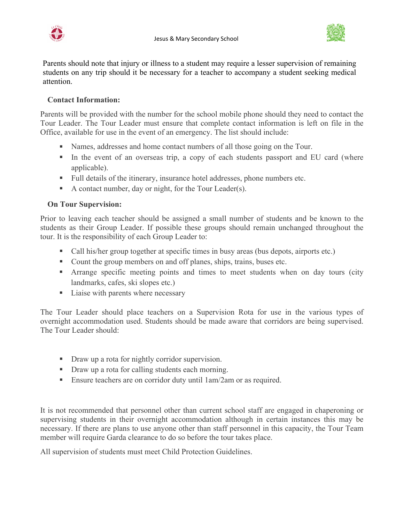



Parents should note that injury or illness to a student may require a lesser supervision of remaining students on any trip should it be necessary for a teacher to accompany a student seeking medical attention.

# **Contact Information:**

Parents will be provided with the number for the school mobile phone should they need to contact the Tour Leader. The Tour Leader must ensure that complete contact information is left on file in the Office, available for use in the event of an emergency. The list should include:

- Names, addresses and home contact numbers of all those going on the Tour.
- In the event of an overseas trip, a copy of each students passport and EU card (where applicable).
- Full details of the itinerary, insurance hotel addresses, phone numbers etc.
- A contact number, day or night, for the Tour Leader(s).

## **On Tour Supervision:**

Prior to leaving each teacher should be assigned a small number of students and be known to the students as their Group Leader. If possible these groups should remain unchanged throughout the tour. It is the responsibility of each Group Leader to:

- Call his/her group together at specific times in busy areas (bus depots, airports etc.)
- Count the group members on and off planes, ships, trains, buses etc.
- Arrange specific meeting points and times to meet students when on day tours (city landmarks, cafes, ski slopes etc.)
- Liaise with parents where necessary

The Tour Leader should place teachers on a Supervision Rota for use in the various types of overnight accommodation used. Students should be made aware that corridors are being supervised. The Tour Leader should:

- Draw up a rota for nightly corridor supervision.
- **Draw up a rota for calling students each morning.**
- Ensure teachers are on corridor duty until 1am/2am or as required.

It is not recommended that personnel other than current school staff are engaged in chaperoning or supervising students in their overnight accommodation although in certain instances this may be necessary. If there are plans to use anyone other than staff personnel in this capacity, the Tour Team member will require Garda clearance to do so before the tour takes place.

All supervision of students must meet Child Protection Guidelines.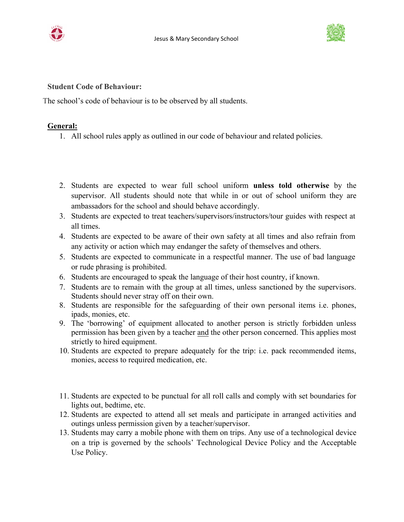



**Student Code of Behaviour:**

The school's code of behaviour is to be observed by all students.

#### **General:**

- 1. All school rules apply as outlined in our code of behaviour and related policies.
- 2. Students are expected to wear full school uniform **unless told otherwise** by the supervisor. All students should note that while in or out of school uniform they are ambassadors for the school and should behave accordingly.
- 3. Students are expected to treat teachers/supervisors/instructors/tour guides with respect at all times.
- 4. Students are expected to be aware of their own safety at all times and also refrain from any activity or action which may endanger the safety of themselves and others.
- 5. Students are expected to communicate in a respectful manner. The use of bad language or rude phrasing is prohibited.
- 6. Students are encouraged to speak the language of their host country, if known.
- 7. Students are to remain with the group at all times, unless sanctioned by the supervisors. Students should never stray off on their own.
- 8. Students are responsible for the safeguarding of their own personal items i.e. phones, ipads, monies, etc.
- 9. The 'borrowing' of equipment allocated to another person is strictly forbidden unless permission has been given by a teacher and the other person concerned. This applies most strictly to hired equipment.
- 10. Students are expected to prepare adequately for the trip: i.e. pack recommended items, monies, access to required medication, etc.
- 11. Students are expected to be punctual for all roll calls and comply with set boundaries for lights out, bedtime, etc.
- 12. Students are expected to attend all set meals and participate in arranged activities and outings unless permission given by a teacher/supervisor.
- 13. Students may carry a mobile phone with them on trips. Any use of a technological device on a trip is governed by the schools' Technological Device Policy and the Acceptable Use Policy.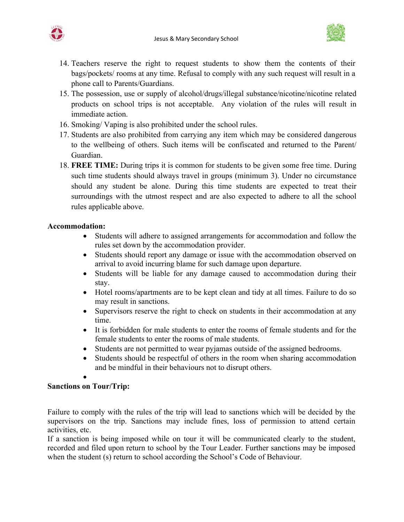



- 14. Teachers reserve the right to request students to show them the contents of their bags/pockets/ rooms at any time. Refusal to comply with any such request will result in a phone call to Parents/Guardians.
- 15. The possession, use or supply of alcohol/drugs/illegal substance/nicotine/nicotine related products on school trips is not acceptable. Any violation of the rules will result in immediate action.
- 16. Smoking/ Vaping is also prohibited under the school rules.
- 17. Students are also prohibited from carrying any item which may be considered dangerous to the wellbeing of others. Such items will be confiscated and returned to the Parent/ Guardian.
- 18. **FREE TIME:** During trips it is common for students to be given some free time. During such time students should always travel in groups (minimum 3). Under no circumstance should any student be alone. During this time students are expected to treat their surroundings with the utmost respect and are also expected to adhere to all the school rules applicable above.

#### **Accommodation:**

- Students will adhere to assigned arrangements for accommodation and follow the rules set down by the accommodation provider.
- Students should report any damage or issue with the accommodation observed on arrival to avoid incurring blame for such damage upon departure.
- Students will be liable for any damage caused to accommodation during their stay.
- Hotel rooms/apartments are to be kept clean and tidy at all times. Failure to do so may result in sanctions.
- Supervisors reserve the right to check on students in their accommodation at any time.
- It is forbidden for male students to enter the rooms of female students and for the female students to enter the rooms of male students.
- Students are not permitted to wear pyjamas outside of the assigned bedrooms.
- Students should be respectful of others in the room when sharing accommodation and be mindful in their behaviours not to disrupt others.

 $\bullet$  and  $\bullet$  and  $\bullet$  and  $\bullet$ 

## **Sanctions on Tour/Trip:**

Failure to comply with the rules of the trip will lead to sanctions which will be decided by the supervisors on the trip. Sanctions may include fines, loss of permission to attend certain activities, etc.

If a sanction is being imposed while on tour it will be communicated clearly to the student, recorded and filed upon return to school by the Tour Leader. Further sanctions may be imposed when the student (s) return to school according the School's Code of Behaviour.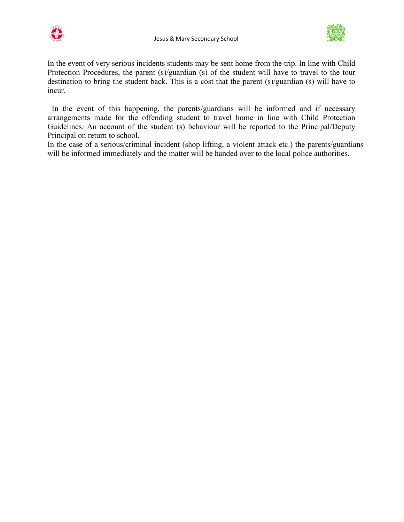



In the event of very serious incidents students may be sent home from the trip. In line with Child Protection Procedures, the parent (s)/guardian (s) of the student will have to travel to the tour destination to bring the student back. This is a cost that the parent (s)/guardian (s) will have to incur.

In the event of this happening, the parents/guardians will be informed and if necessary arrangements made for the offending student to travel home in line with Child Protection Guidelines. An account of the student (s) behaviour will be reported to the Principal/Deputy Principal on return to school.

In the case of a serious/criminal incident (shop lifting, a violent attack etc.) the parents/guardians will be informed immediately and the matter will be handed over to the local police authorities.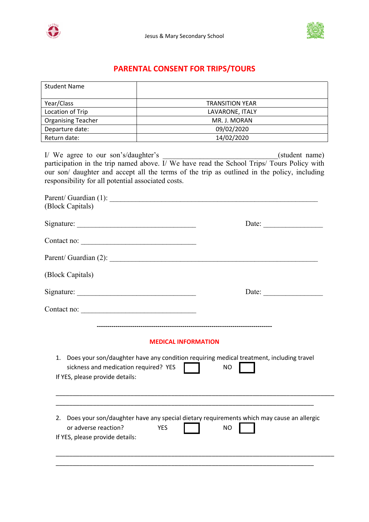



# **PARENTAL CONSENT FOR TRIPS/TOURS**

| <b>Student Name</b>                                                                       |                                                                                                                                                                                                                                                 |  |  |
|-------------------------------------------------------------------------------------------|-------------------------------------------------------------------------------------------------------------------------------------------------------------------------------------------------------------------------------------------------|--|--|
| Year/Class                                                                                | TRANSITION YEAR<br>TRANSITION YEAR   TRANSITION<br><u> 1989 - Johann Stein, fransk politik (d. 1989)</u>                                                                                                                                        |  |  |
| Location of Trip                                                                          | LAVARONE, ITALY                                                                                                                                                                                                                                 |  |  |
| <b>Organising Teacher</b>                                                                 |                                                                                                                                                                                                                                                 |  |  |
|                                                                                           | Departure date: 09/02/2020                                                                                                                                                                                                                      |  |  |
| Return date:                                                                              | <u> 1989 - John Stein, Amerikaansk politiker (</u>                                                                                                                                                                                              |  |  |
| I/ We agree to our son's/daughter's<br>responsibility for all potential associated costs. | I/ We agree to our son's/daughter's $($ student name) participation in the trip named above. I/ We have read the School Trips/ Tours Policy with<br>our son/ daughter and accept all the terms of the trip as outlined in the policy, including |  |  |
| (Block Capitals)                                                                          |                                                                                                                                                                                                                                                 |  |  |
|                                                                                           |                                                                                                                                                                                                                                                 |  |  |
| Contact no:                                                                               |                                                                                                                                                                                                                                                 |  |  |
|                                                                                           | Parent/ Guardian (2):                                                                                                                                                                                                                           |  |  |
| (Block Capitals)                                                                          |                                                                                                                                                                                                                                                 |  |  |
|                                                                                           | Date:                                                                                                                                                                                                                                           |  |  |
| Contact no:                                                                               |                                                                                                                                                                                                                                                 |  |  |
| sickness and medication required? YES<br>If YES, please provide details:                  | <b>MEDICAL INFORMATION</b><br>1. Does your son/daughter have any condition requiring medical treatment, including travel<br><b>NO</b>                                                                                                           |  |  |
| or adverse reaction?<br>If YES, please provide details:                                   | 2. Does your son/daughter have any special dietary requirements which may cause an allergic<br><b>YES</b><br><b>NO</b>                                                                                                                          |  |  |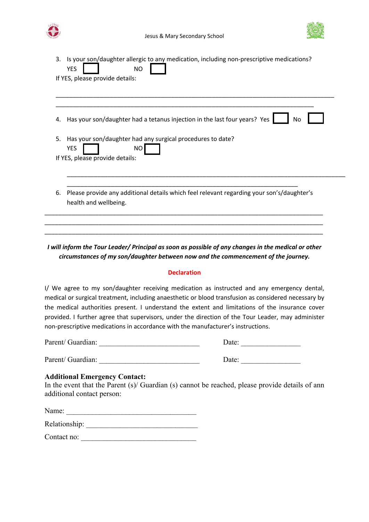



| 3. | Is your son/daughter allergic to any medication, including non-prescriptive medications?<br><b>YES</b><br><b>NO</b> |
|----|---------------------------------------------------------------------------------------------------------------------|
|    | If YES, please provide details:                                                                                     |
| 4. | Has your son/daughter had a tetanus injection in the last four years? Yes<br>No.                                    |
| 5. | Has your son/daughter had any surgical procedures to date?<br><b>YES</b><br>NO                                      |
|    | If YES, please provide details:                                                                                     |
| 6. | Please provide any additional details which feel relevant regarding your son's/daughter's<br>health and wellbeing.  |

*I will inform the Tour Leader/ Principal as soon as possible of any changes in the medical or other circumstances of my son/daughter between now and the commencement of the journey.*

#### **Declaration**

I/ We agree to my son/daughter receiving medication as instructed and any emergency dental, medical or surgical treatment, including anaesthetic or blood transfusion as considered necessary by the medical authorities present. I understand the extent and limitations of the insurance cover provided. I further agree that supervisors, under the direction of the Tour Leader, may administer non-prescriptive medications in accordance with the manufacturer's instructions.

Parent/ Guardian: \_\_\_\_\_\_\_\_\_\_\_\_\_\_\_\_\_\_\_\_\_\_\_\_\_\_\_ Date: \_\_\_\_\_\_\_\_\_\_\_\_\_\_\_\_

Parent/ Guardian: \_\_\_\_\_\_\_\_\_\_\_\_\_\_\_\_\_\_\_\_\_\_\_\_\_\_\_ Date: \_\_\_\_\_\_\_\_\_\_\_\_\_\_\_\_

| Date: |  |  |  |  |
|-------|--|--|--|--|
|       |  |  |  |  |

#### **Additional Emergency Contact:**

In the event that the Parent (s)/ Guardian (s) cannot be reached, please provide details of ann additional contact person:

| Name:         |  |  |  |
|---------------|--|--|--|
| Relationship: |  |  |  |

Contact no: \_\_\_\_\_\_\_\_\_\_\_\_\_\_\_\_\_\_\_\_\_\_\_\_\_\_\_\_\_\_\_